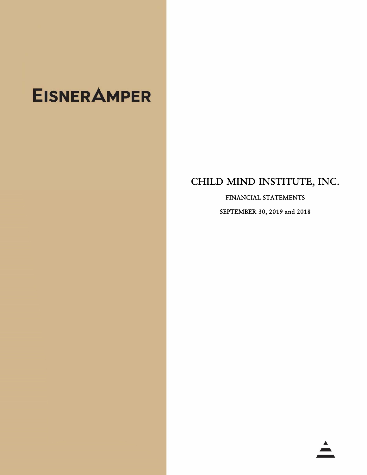# **EISNERAMPER**

# CHILD MIND INSTITUTE, INC.

FINANCIAL STATEMENTS SEPTEMBER 30, 2019 and 2018

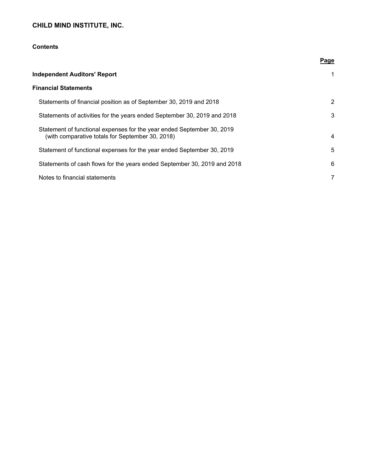# **Contents**

|                                                                                                                            | Page |
|----------------------------------------------------------------------------------------------------------------------------|------|
| <b>Independent Auditors' Report</b>                                                                                        |      |
| <b>Financial Statements</b>                                                                                                |      |
| Statements of financial position as of September 30, 2019 and 2018                                                         | 2    |
| Statements of activities for the years ended September 30, 2019 and 2018                                                   | 3    |
| Statement of functional expenses for the year ended September 30, 2019<br>(with comparative totals for September 30, 2018) | 4    |
| Statement of functional expenses for the year ended September 30, 2019                                                     | 5    |
| Statements of cash flows for the years ended September 30, 2019 and 2018                                                   | 6    |
| Notes to financial statements                                                                                              | 7    |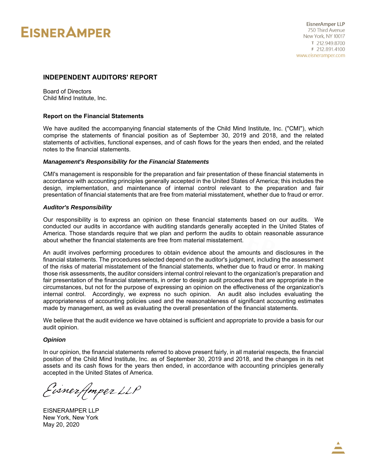# **EISNER AMPER**

#### $\overline{a}$ **INDEPENDENT AUDITORS' REPORT**

Board of Directors Child Mind Institute, Inc.

#### **Report on the Financial Statements**

We have audited the accompanying financial statements of the Child Mind Institute, Inc. ("CMI"), which comprise the statements of financial position as of September 30, 2019 and 2018, and the related statements of activities, functional expenses, and of cash flows for the years then ended, and the related notes to the financial statements.

#### *Management's Responsibility for the Financial Statements*

CMI's management is responsible for the preparation and fair presentation of these financial statements in accordance with accounting principles generally accepted in the United States of America; this includes the design, implementation, and maintenance of internal control relevant to the preparation and fair presentation of financial statements that are free from material misstatement, whether due to fraud or error.

#### *Auditor's Responsibility*

Our responsibility is to express an opinion on these financial statements based on our audits. We conducted our audits in accordance with auditing standards generally accepted in the United States of America. Those standards require that we plan and perform the audits to obtain reasonable assurance about whether the financial statements are free from material misstatement.

An audit involves performing procedures to obtain evidence about the amounts and disclosures in the financial statements. The procedures selected depend on the auditor's judgment, including the assessment of the risks of material misstatement of the financial statements, whether due to fraud or error. In making those risk assessments, the auditor considers internal control relevant to the organization's preparation and fair presentation of the financial statements, in order to design audit procedures that are appropriate in the circumstances, but not for the purpose of expressing an opinion on the effectiveness of the organization's internal control. Accordingly, we express no such opinion. An audit also includes evaluating the appropriateness of accounting policies used and the reasonableness of significant accounting estimates made by management, as well as evaluating the overall presentation of the financial statements.

We believe that the audit evidence we have obtained is sufficient and appropriate to provide a basis for our audit opinion.

# *Opinion*

In our opinion, the financial statements referred to above present fairly, in all material respects, the financial position of the Child Mind Institute, Inc. as of September 30, 2019 and 2018, and the changes in its net assets and its cash flows for the years then ended, in accordance with accounting principles generally accepted in the United States of America.

Eisnerffmper LLP

EISNERAMPER LLP New York, New York May 20, 2020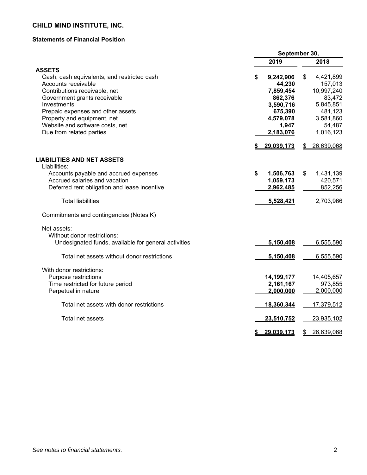# **Statements of Financial Position**

|                                                      | September 30,    |                  |  |
|------------------------------------------------------|------------------|------------------|--|
|                                                      | 2019             | 2018             |  |
| <b>ASSETS</b>                                        |                  |                  |  |
| Cash, cash equivalents, and restricted cash          | 9,242,906<br>S   | \$<br>4,421,899  |  |
| Accounts receivable                                  | 44,230           | 157,013          |  |
| Contributions receivable, net                        | 7,859,454        | 10,997,240       |  |
| Government grants receivable                         | 862,376          | 83,472           |  |
| Investments                                          | 3,590,716        | 5,845,851        |  |
| Prepaid expenses and other assets                    | 675,390          | 481,123          |  |
| Property and equipment, net                          | 4,579,078        | 3,581,860        |  |
| Website and software costs, net                      | 1,947            | 54,487           |  |
| Due from related parties                             | 2,183,076        | 1,016,123        |  |
|                                                      | 29,039,173       | 26,639,068<br>S. |  |
| <b>LIABILITIES AND NET ASSETS</b><br>Liabilities:    |                  |                  |  |
| Accounts payable and accrued expenses                | 1,506,763<br>\$  | 1,431,139<br>\$  |  |
| Accrued salaries and vacation                        | 1,059,173        | 420,571          |  |
| Deferred rent obligation and lease incentive         | 2,962,485        | 852,256          |  |
|                                                      |                  |                  |  |
| <b>Total liabilities</b>                             | 5,528,421        | 2,703,966        |  |
| Commitments and contingencies (Notes K)              |                  |                  |  |
| Net assets:                                          |                  |                  |  |
| Without donor restrictions:                          |                  |                  |  |
| Undesignated funds, available for general activities | 5,150,408        | 6,555,590        |  |
|                                                      |                  |                  |  |
| Total net assets without donor restrictions          | 5,150,408        | 6,555,590        |  |
| With donor restrictions:                             |                  |                  |  |
| Purpose restrictions                                 | 14,199,177       | 14,405,657       |  |
| Time restricted for future period                    | 2,161,167        | 973,855          |  |
| Perpetual in nature                                  | 2,000,000        | 2,000,000        |  |
| Total net assets with donor restrictions             | 18,360,344       | 17,379,512       |  |
| Total net assets                                     | 23,510,752       | 23,935,102       |  |
|                                                      | 29,039,173<br>S. | 26,639,068<br>\$ |  |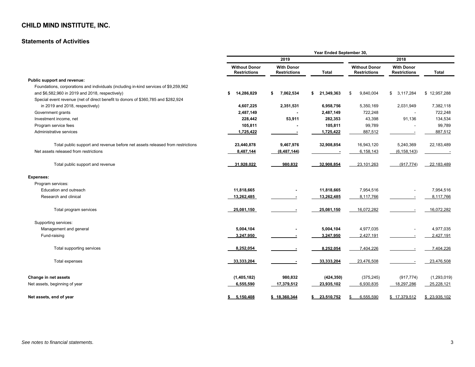#### **Statements of Activities**

|                                                                                      | Year Ended September 30,                                                                |                 |                  |                                             |                                          |              |  |  |
|--------------------------------------------------------------------------------------|-----------------------------------------------------------------------------------------|-----------------|------------------|---------------------------------------------|------------------------------------------|--------------|--|--|
|                                                                                      |                                                                                         | 2019            |                  |                                             |                                          |              |  |  |
|                                                                                      | <b>Without Donor</b><br><b>With Donor</b><br><b>Restrictions</b><br><b>Restrictions</b> |                 | Total            | <b>Without Donor</b><br><b>Restrictions</b> | <b>With Donor</b><br><b>Restrictions</b> | Total        |  |  |
| Public support and revenue:                                                          |                                                                                         |                 |                  |                                             |                                          |              |  |  |
| Foundations, corporations and individuals (including in-kind services of \$9,259,962 |                                                                                         |                 |                  |                                             |                                          |              |  |  |
| and \$6,582,960 in 2019 and 2018, respectively)                                      | 14,286,829<br>\$                                                                        | \$<br>7,062,534 | 21,349,363<br>\$ | 9,840,004<br>\$                             | 3,117,284<br>\$                          | \$12,957,288 |  |  |
| Special event revenue (net of direct benefit to donors of \$360,785 and \$282,924    |                                                                                         |                 |                  |                                             |                                          |              |  |  |
| in 2019 and 2018, respectively)                                                      | 4,607,225                                                                               | 2,351,531       | 6,958,756        | 5,350,169                                   | 2,031,949                                | 7,382,118    |  |  |
| Government grants                                                                    | 2,487,149                                                                               |                 | 2,487,149        | 722,248                                     | $\blacksquare$                           | 722,248      |  |  |
| Investment income, net                                                               | 228,442                                                                                 | 53,911          | 282,353          | 43,398                                      | 91,136                                   | 134,534      |  |  |
| Program service fees                                                                 | 105,811                                                                                 | ä,              | 105,811          | 99,789                                      |                                          | 99,789       |  |  |
| Administrative services                                                              | 1,725,422                                                                               |                 | 1,725,422        | 887,512                                     |                                          | 887,512      |  |  |
| Total public support and revenue before net assets released from restrictions        | 23,440,878                                                                              | 9,467,976       | 32,908,854       | 16,943,120                                  | 5,240,369                                | 22,183,489   |  |  |
| Net assets released from restrictions                                                | 8,487,144                                                                               | (8,487,144)     |                  | 6,158,143                                   | (6, 158, 143)                            |              |  |  |
| Total public support and revenue                                                     | 31,928,022                                                                              | 980,832         | 32,908,854       | 23, 101, 263                                | (917, 774)                               | 22,183,489   |  |  |
| <b>Expenses:</b>                                                                     |                                                                                         |                 |                  |                                             |                                          |              |  |  |
| Program services:                                                                    |                                                                                         |                 |                  |                                             |                                          |              |  |  |
| <b>Education and outreach</b>                                                        | 11,818,665                                                                              |                 | 11,818,665       | 7,954,516                                   |                                          | 7,954,516    |  |  |
| Research and clinical                                                                | 13,262,485                                                                              |                 | 13,262,485       | 8,117,766                                   |                                          | 8,117,766    |  |  |
| Total program services                                                               | 25,081,150                                                                              |                 | 25,081,150       | 16,072,282                                  |                                          | 16,072,282   |  |  |
| Supporting services:                                                                 |                                                                                         |                 |                  |                                             |                                          |              |  |  |
| Management and general                                                               | 5,004,104                                                                               |                 | 5,004,104        | 4,977,035                                   |                                          | 4,977,035    |  |  |
| Fund-raising                                                                         | 3,247,950                                                                               |                 | 3,247,950        | 2,427,191                                   |                                          | 2,427,191    |  |  |
| Total supporting services                                                            | 8,252,054                                                                               |                 | 8,252,054        | 7,404,226                                   |                                          | 7,404,226    |  |  |
| Total expenses                                                                       | 33,333,204                                                                              |                 | 33,333,204       | 23,476,508                                  |                                          | 23,476,508   |  |  |
| Change in net assets                                                                 | (1,405,182)                                                                             | 980,832         | (424, 350)       | (375, 245)                                  | (917, 774)                               | (1,293,019)  |  |  |
| Net assets, beginning of year                                                        | 6,555,590                                                                               | 17,379,512      | 23,935,102       | 6,930,835                                   | 18,297,286                               | 25,228,121   |  |  |
| Net assets, end of year                                                              | \$ 5,150,408                                                                            | \$18,360,344    | \$23,510,752     | 6,555,590<br>\$                             | \$17,379,512                             | \$23,935,102 |  |  |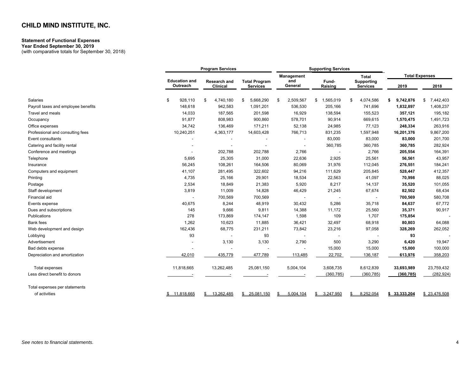#### **Statement of Functional Expenses**

**Year Ended September 30, 2019** 

(with comparative totals for September 30, 2018)

|                                     | <b>Program Services</b>  |                  |                                                           |                 | <b>Supporting Services</b> |                            |                 |                       |  |
|-------------------------------------|--------------------------|------------------|-----------------------------------------------------------|-----------------|----------------------------|----------------------------|-----------------|-----------------------|--|
|                                     | <b>Education and</b>     |                  | Management<br><b>Total Program</b><br><b>Research and</b> |                 | Fund-                      | Total<br><b>Supporting</b> |                 | <b>Total Expenses</b> |  |
|                                     | Outreach                 | Clinical         | <b>Services</b>                                           | and<br>General  | Raising                    | <b>Services</b>            | 2019            | 2018                  |  |
| <b>Salaries</b>                     | 928,110<br>\$            | \$<br>4,740,180  | 5,668,290<br>\$                                           | 2,509,567<br>\$ | 1,565,019<br>\$            | 4,074,586<br>\$            | 9,742,876<br>\$ | 7,442,403<br>\$       |  |
| Payroll taxes and employee benefits | 148,618                  | 942,583          | 1,091,201                                                 | 536,530         | 205,166                    | 741,696                    | 1,832,897       | 1,408,237             |  |
| Travel and meals                    | 14,033                   | 187,565          | 201,598                                                   | 16,929          | 138,594                    | 155,523                    | 357,121         | 195,182               |  |
| Occupancy                           | 91,877                   | 808,983          | 900,860                                                   | 578,701         | 90,914                     | 669,615                    | 1,570,475       | 1,491,723             |  |
| Office expenses                     | 34,742                   | 136,469          | 171,211                                                   | 52,138          | 24,985                     | 77,123                     | 248,334         | 263,916               |  |
| Professional and consulting fees    | 10,240,251               | 4,363,177        | 14,603,428                                                | 766,713         | 831,235                    | 1,597,948                  | 16,201,376      | 9,867,200             |  |
| Event consultants                   |                          |                  |                                                           |                 | 83,000                     | 83,000                     | 83,000          | 201,700               |  |
| Catering and facility rental        |                          |                  |                                                           |                 | 360,785                    | 360,785                    | 360,785         | 282,924               |  |
| Conference and meetings             | $\overline{\phantom{a}}$ | 202,788          | 202,788                                                   | 2,766           |                            | 2,766                      | 205,554         | 164,391               |  |
| Telephone                           | 5,695                    | 25,305           | 31,000                                                    | 22,636          | 2,925                      | 25,561                     | 56,561          | 43,957                |  |
| Insurance                           | 56,245                   | 108,261          | 164,506                                                   | 80,069          | 31,976                     | 112,045                    | 276,551         | 184,241               |  |
| Computers and equipment             | 41,107                   | 281,495          | 322,602                                                   | 94,216          | 111,629                    | 205,845                    | 528,447         | 412,357               |  |
| Printing                            | 4,735                    | 25,166           | 29,901                                                    | 18,534          | 22,563                     | 41,097                     | 70,998          | 88,025                |  |
| Postage                             | 2,534                    | 18,849           | 21,383                                                    | 5,920           | 8,217                      | 14,137                     | 35,520          | 101,055               |  |
| Staff development                   | 3,819                    | 11,009           | 14,828                                                    | 46,429          | 21,245                     | 67,674                     | 82,502          | 68,434                |  |
| Financial aid                       |                          | 700,569          | 700,569                                                   |                 |                            |                            | 700,569         | 580,708               |  |
| Events expense                      | 40,675                   | 8,244            | 48,919                                                    | 30,432          | 5,286                      | 35,718                     | 84,637          | 67,772                |  |
| Dues and subscriptions              | 145                      | 9,666            | 9,811                                                     | 14,388          | 11,172                     | 25,560                     | 35,371          | 90,917                |  |
| Publications                        | 278                      | 173,869          | 174,147                                                   | 1,598           | 109                        | 1,707                      | 175,854         |                       |  |
| Bank fees                           | 1,262                    | 10,623           | 11,885                                                    | 36,421          | 32,497                     | 68,918                     | 80,803          | 64,088                |  |
| Web development and design          | 162,436                  | 68,775           | 231,211                                                   | 73,842          | 23,216                     | 97,058                     | 328,269         | 262,052               |  |
| Lobbying                            | 93                       |                  | 93                                                        |                 |                            |                            | 93              |                       |  |
| Advertisement                       |                          | 3,130            | 3,130                                                     | 2,790           | 500                        | 3,290                      | 6,420           | 19,947                |  |
| Bad debts expense                   |                          |                  |                                                           |                 | 15,000                     | 15,000                     | 15,000          | 100,000               |  |
| Depreciation and amortization       | 42,010                   | 435,779          | 477,789                                                   | 113,485         | 22,702                     | 136,187                    | 613,976         | 358,203               |  |
| Total expenses                      | 11,818,665               | 13,262,485       | 25,081,150                                                | 5,004,104       | 3,608,735                  | 8,612,839                  | 33,693,989      | 23,759,432            |  |
| Less direct benefit to donors       |                          |                  |                                                           |                 | (360, 785)                 | (360, 785)                 | (360, 785)      | (282, 924)            |  |
| Total expenses per statements       |                          |                  |                                                           |                 |                            |                            |                 |                       |  |
| of activities                       | \$11.818.665             | 13.262.485<br>\$ | 25.081.150<br>\$                                          | 5.004.104<br>\$ | 3.247.950<br>\$            | 8,252,054<br>\$            | \$33,333,204    | \$23,476,508          |  |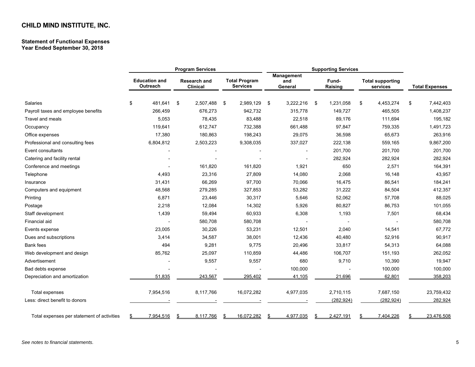#### **Statement of Functional Expenses Year Ended September 30, 2018**

|                                            | <b>Program Services</b>          |                                        |                                         |                                     |                  |                                     |                       |
|--------------------------------------------|----------------------------------|----------------------------------------|-----------------------------------------|-------------------------------------|------------------|-------------------------------------|-----------------------|
|                                            | <b>Education and</b><br>Outreach | <b>Research and</b><br><b>Clinical</b> | <b>Total Program</b><br><b>Services</b> | <b>Management</b><br>and<br>General | Fund-<br>Raising | <b>Total supporting</b><br>services | <b>Total Expenses</b> |
| Salaries                                   | \$<br>481,641                    | \$<br>2,507,488                        | \$<br>2,989,129                         | 3,222,216<br>\$                     | 1,231,058<br>\$  | \$<br>4,453,274                     | \$<br>7,442,403       |
| Payroll taxes and employee benefits        | 266,459                          | 676,273                                | 942,732                                 | 315,778                             | 149,727          | 465,505                             | 1,408,237             |
| Travel and meals                           | 5,053                            | 78,435                                 | 83,488                                  | 22,518                              | 89,176           | 111.694                             | 195,182               |
| Occupancy                                  | 119,641                          | 612,747                                | 732,388                                 | 661,488                             | 97,847           | 759,335                             | 1,491,723             |
| Office expenses                            | 17,380                           | 180,863                                | 198,243                                 | 29,075                              | 36,598           | 65,673                              | 263,916               |
| Professional and consulting fees           | 6,804,812                        | 2,503,223                              | 9,308,035                               | 337,027                             | 222,138          | 559,165                             | 9,867,200             |
| Event consultants                          |                                  |                                        |                                         |                                     | 201,700          | 201,700                             | 201,700               |
| Catering and facility rental               |                                  |                                        |                                         |                                     | 282,924          | 282,924                             | 282,924               |
| Conference and meetings                    |                                  | 161,820                                | 161,820                                 | 1,921                               | 650              | 2,571                               | 164,391               |
| Telephone                                  | 4,493                            | 23,316                                 | 27,809                                  | 14,080                              | 2,068            | 16,148                              | 43,957                |
| Insurance                                  | 31,431                           | 66,269                                 | 97,700                                  | 70,066                              | 16,475           | 86,541                              | 184,241               |
| Computers and equipment                    | 48,568                           | 279,285                                | 327,853                                 | 53,282                              | 31,222           | 84,504                              | 412,357               |
| Printing                                   | 6,871                            | 23,446                                 | 30,317                                  | 5,646                               | 52,062           | 57,708                              | 88,025                |
| Postage                                    | 2,218                            | 12,084                                 | 14,302                                  | 5,926                               | 80,827           | 86,753                              | 101,055               |
| Staff development                          | 1,439                            | 59,494                                 | 60,933                                  | 6,308                               | 1,193            | 7,501                               | 68,434                |
| Financial aid                              |                                  | 580,708                                | 580,708                                 |                                     |                  |                                     | 580,708               |
| Events expense                             | 23,005                           | 30,226                                 | 53,231                                  | 12,501                              | 2,040            | 14,541                              | 67,772                |
| Dues and subscriptions                     | 3,414                            | 34,587                                 | 38,001                                  | 12,436                              | 40,480           | 52,916                              | 90,917                |
| <b>Bank</b> fees                           | 494                              | 9,281                                  | 9,775                                   | 20,496                              | 33,817           | 54,313                              | 64,088                |
| Web development and design                 | 85,762                           | 25,097                                 | 110,859                                 | 44,486                              | 106,707          | 151,193                             | 262,052               |
| Advertisement                              |                                  | 9,557                                  | 9,557                                   | 680                                 | 9,710            | 10,390                              | 19,947                |
| Bad debts expense                          |                                  |                                        |                                         | 100,000                             |                  | 100,000                             | 100,000               |
| Depreciation and amortization              | 51,835                           | 243,567                                | 295.402                                 | 41.105                              | 21,696           | 62,801                              | 358,203               |
| Total expenses                             | 7,954,516                        | 8,117,766                              | 16,072,282                              | 4,977,035                           | 2,710,115        | 7,687,150                           | 23,759,432            |
| Less: direct benefit to donors             |                                  |                                        |                                         |                                     | (282, 924)       | (282, 924)                          | 282,924               |
| Total expenses per statement of activities | 7,954,516                        | 8,117,766                              | 16,072,282                              | 4,977,035                           | 2,427,191        | 7,404,226                           | 23,476,508            |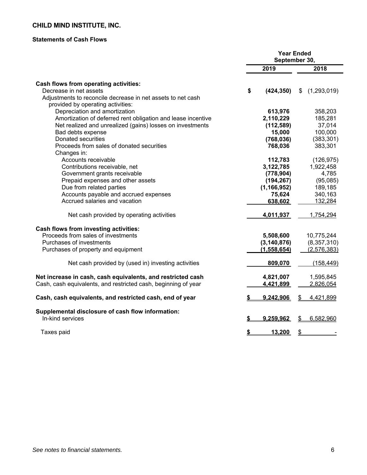# **Statements of Cash Flows**

|                                                                                                                            | <b>Year Ended</b><br>September 30, |               |                   |  |  |
|----------------------------------------------------------------------------------------------------------------------------|------------------------------------|---------------|-------------------|--|--|
|                                                                                                                            |                                    | 2019          | 2018              |  |  |
| <b>Cash flows from operating activities:</b>                                                                               |                                    |               |                   |  |  |
| Decrease in net assets<br>Adjustments to reconcile decrease in net assets to net cash<br>provided by operating activities: | \$                                 | (424, 350)    | (1,293,019)<br>\$ |  |  |
| Depreciation and amortization                                                                                              |                                    | 613,976       | 358,203           |  |  |
| Amortization of deferred rent obligation and lease incentive                                                               |                                    | 2,110,229     | 185,281           |  |  |
| Net realized and unrealized (gains) losses on investments                                                                  |                                    | (112, 589)    | 37,014            |  |  |
| Bad debts expense                                                                                                          |                                    | 15,000        | 100,000           |  |  |
| Donated securities                                                                                                         |                                    | (768, 036)    | (383, 301)        |  |  |
| Proceeds from sales of donated securities<br>Changes in:                                                                   |                                    | 768,036       | 383,301           |  |  |
| Accounts receivable                                                                                                        |                                    | 112,783       | (126, 975)        |  |  |
| Contributions receivable, net                                                                                              |                                    | 3,122,785     | 1,922,458         |  |  |
| Government grants receivable                                                                                               |                                    | (778, 904)    | 4,785             |  |  |
| Prepaid expenses and other assets                                                                                          |                                    | (194, 267)    | (95,085)          |  |  |
| Due from related parties                                                                                                   |                                    | (1, 166, 952) | 189,185           |  |  |
| Accounts payable and accrued expenses                                                                                      |                                    | 75,624        | 340,163           |  |  |
| Accrued salaries and vacation                                                                                              |                                    | 638,602       | 132,284           |  |  |
| Net cash provided by operating activities                                                                                  |                                    | 4,011,937     | 1,754,294         |  |  |
| <b>Cash flows from investing activities:</b>                                                                               |                                    |               |                   |  |  |
| Proceeds from sales of investments                                                                                         |                                    | 5,508,600     | 10,775,244        |  |  |
| Purchases of investments                                                                                                   |                                    | (3, 140, 876) | (8,357,310)       |  |  |
| Purchases of property and equipment                                                                                        |                                    | (1,558,654)   | (2, 576, 383)     |  |  |
| Net cash provided by (used in) investing activities                                                                        |                                    | 809,070       | (158, 449)        |  |  |
| Net increase in cash, cash equivalents, and restricted cash                                                                |                                    | 4,821,007     | 1,595,845         |  |  |
| Cash, cash equivalents, and restricted cash, beginning of year                                                             |                                    | 4,421,899     | 2,826,054         |  |  |
| Cash, cash equivalents, and restricted cash, end of year                                                                   |                                    | 9.242.906     | 4,421,899<br>\$.  |  |  |
| Supplemental disclosure of cash flow information:                                                                          |                                    |               |                   |  |  |
| In-kind services                                                                                                           | S                                  | 9,259,962     | 6,582,960<br>\$   |  |  |
| Taxes paid                                                                                                                 | S                                  | 13,200        | \$                |  |  |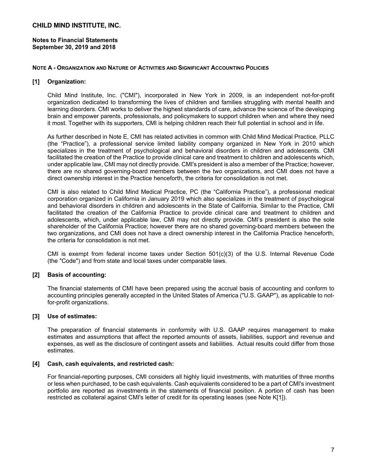**Notes to Financial Statements September 30, 2019 and 2018** 

#### **NOTE A - ORGANIZATION AND NATURE OF ACTIVITIES AND SIGNIFICANT ACCOUNTING POLICIES**

# **[1] Organization:**

Child Mind Institute, Inc. ("CMI"), incorporated in New York in 2009, is an independent not-for-profit organization dedicated to transforming the lives of children and families struggling with mental health and learning disorders. CMI works to deliver the highest standards of care, advance the science of the developing brain and empower parents, professionals, and policymakers to support children when and where they need it most. Together with its supporters, CMI is helping children reach their full potential in school and in life.

As further described in Note E, CMI has related activities in common with Child Mind Medical Practice, PLLC (the "Practice"), a professional service limited liability company organized in New York in 2010 which specializes in the treatment of psychological and behavioral disorders in children and adolescents. CMI facilitated the creation of the Practice to provide clinical care and treatment to children and adolescents which, under applicable law, CMI may not directly provide. CMI's president is also a member of the Practice; however, there are no shared governing-board members between the two organizations, and CMI does not have a direct ownership interest in the Practice henceforth, the criteria for consolidation is not met.

CMI is also related to Child Mind Medical Practice, PC (the "California Practice"), a professional medical corporation organized in California in January 2019 which also specializes in the treatment of psychological and behavioral disorders in children and adolescents in the State of California. Similar to the Practice, CMI facilitated the creation of the California Practice to provide clinical care and treatment to children and adolescents, which, under applicable law, CMI may not directly provide. CMI's president is also the sole shareholder of the California Practice; however there are no shared governing-board members between the two organizations, and CMI does not have a direct ownership interest in the California Practice henceforth, the criteria for consolidation is not met.

CMI is exempt from federal income taxes under Section 501(c)(3) of the U.S. Internal Revenue Code (the "Code") and from state and local taxes under comparable laws.

# **[2] Basis of accounting:**

The financial statements of CMI have been prepared using the accrual basis of accounting and conform to accounting principles generally accepted in the United States of America ("U.S. GAAP"), as applicable to notfor-profit organizations.

#### **[3] Use of estimates:**

The preparation of financial statements in conformity with U.S. GAAP requires management to make estimates and assumptions that affect the reported amounts of assets, liabilities, support and revenue and expenses, as well as the disclosure of contingent assets and liabilities. Actual results could differ from those estimates.

#### **[4] Cash, cash equivalents, and restricted cash:**

For financial-reporting purposes, CMI considers all highly liquid investments, with maturities of three months or less when purchased, to be cash equivalents. Cash equivalents considered to be a part of CMI's investment portfolio are reported as investments in the statements of financial position. A portion of cash has been restricted as collateral against CMI's letter of credit for its operating leases (see Note K[1]).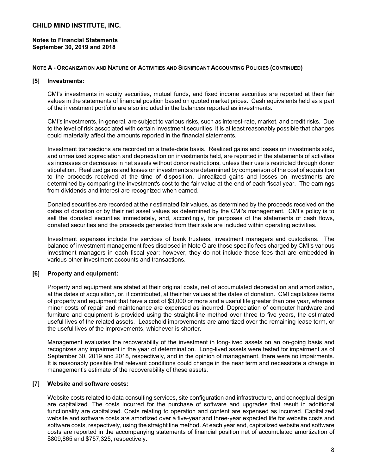**Notes to Financial Statements September 30, 2019 and 2018** 

# **NOTE A - ORGANIZATION AND NATURE OF ACTIVITIES AND SIGNIFICANT ACCOUNTING POLICIES (CONTINUED)**

#### **[5] Investments:**

CMI's investments in equity securities, mutual funds, and fixed income securities are reported at their fair values in the statements of financial position based on quoted market prices. Cash equivalents held as a part of the investment portfolio are also included in the balances reported as investments.

CMI's investments, in general, are subject to various risks, such as interest-rate, market, and credit risks. Due to the level of risk associated with certain investment securities, it is at least reasonably possible that changes could materially affect the amounts reported in the financial statements.

Investment transactions are recorded on a trade-date basis. Realized gains and losses on investments sold, and unrealized appreciation and depreciation on investments held, are reported in the statements of activities as increases or decreases in net assets without donor restrictions, unless their use is restricted through donor stipulation. Realized gains and losses on investments are determined by comparison of the cost of acquisition to the proceeds received at the time of disposition. Unrealized gains and losses on investments are determined by comparing the investment's cost to the fair value at the end of each fiscal year. The earnings from dividends and interest are recognized when earned.

Donated securities are recorded at their estimated fair values, as determined by the proceeds received on the dates of donation or by their net asset values as determined by the CMI's management. CMI's policy is to sell the donated securities immediately, and, accordingly, for purposes of the statements of cash flows, donated securities and the proceeds generated from their sale are included within operating activities.

Investment expenses include the services of bank trustees, investment managers and custodians. The balance of investment management fees disclosed in Note C are those specific fees charged by CMI's various investment managers in each fiscal year; however, they do not include those fees that are embedded in various other investment accounts and transactions.

# **[6] Property and equipment:**

Property and equipment are stated at their original costs, net of accumulated depreciation and amortization, at the dates of acquisition, or, if contributed, at their fair values at the dates of donation. CMI capitalizes items of property and equipment that have a cost of \$3,000 or more and a useful life greater than one year, whereas minor costs of repair and maintenance are expensed as incurred. Depreciation of computer hardware and furniture and equipment is provided using the straight-line method over three to five years, the estimated useful lives of the related assets. Leasehold improvements are amortized over the remaining lease term, or the useful lives of the improvements, whichever is shorter.

Management evaluates the recoverability of the investment in long-lived assets on an on-going basis and recognizes any impairment in the year of determination. Long-lived assets were tested for impairment as of September 30, 2019 and 2018, respectively, and in the opinion of management, there were no impairments. It is reasonably possible that relevant conditions could change in the near term and necessitate a change in management's estimate of the recoverability of these assets.

# **[7] Website and software costs:**

Website costs related to data consulting services, site configuration and infrastructure, and conceptual design are capitalized. The costs incurred for the purchase of software and upgrades that result in additional functionality are capitalized. Costs relating to operation and content are expensed as incurred. Capitalized website and software costs are amortized over a five-year and three-year expected life for website costs and software costs, respectively, using the straight line method. At each year end, capitalized website and software costs are reported in the accompanying statements of financial position net of accumulated amortization of \$809,865 and \$757,325, respectively.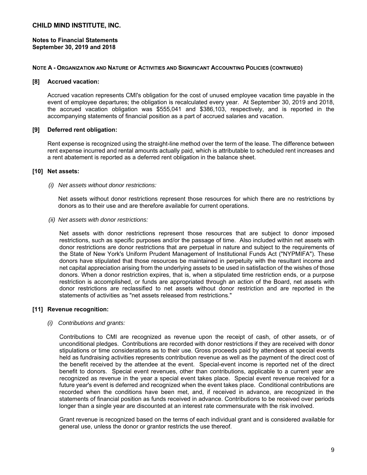**Notes to Financial Statements September 30, 2019 and 2018** 

#### **NOTE A - ORGANIZATION AND NATURE OF ACTIVITIES AND SIGNIFICANT ACCOUNTING POLICIES (CONTINUED)**

#### **[8] Accrued vacation:**

Accrued vacation represents CMI's obligation for the cost of unused employee vacation time payable in the event of employee departures; the obligation is recalculated every year. At September 30, 2019 and 2018, the accrued vacation obligation was \$555,041 and \$386,103, respectively, and is reported in the accompanying statements of financial position as a part of accrued salaries and vacation.

# **[9] Deferred rent obligation:**

Rent expense is recognized using the straight-line method over the term of the lease. The difference between rent expense incurred and rental amounts actually paid, which is attributable to scheduled rent increases and a rent abatement is reported as a deferred rent obligation in the balance sheet.

# **[10] Net assets:**

#### *(i) Net assets without donor restrictions:*

Net assets without donor restrictions represent those resources for which there are no restrictions by donors as to their use and are therefore available for current operations.

*(ii) Net assets with donor restrictions:* 

Net assets with donor restrictions represent those resources that are subject to donor imposed restrictions, such as specific purposes and/or the passage of time. Also included within net assets with donor restrictions are donor restrictions that are perpetual in nature and subject to the requirements of the State of New York's Uniform Prudent Management of Institutional Funds Act ("NYPMIFA"). These donors have stipulated that those resources be maintained in perpetuity with the resultant income and net capital appreciation arising from the underlying assets to be used in satisfaction of the wishes of those donors. When a donor restriction expires, that is, when a stipulated time restriction ends, or a purpose restriction is accomplished, or funds are appropriated through an action of the Board, net assets with donor restrictions are reclassified to net assets without donor restriction and are reported in the statements of activities as "net assets released from restrictions."

# **[11] Revenue recognition:**

#### *(i) Contributions and grants:*

Contributions to CMI are recognized as revenue upon the receipt of cash, of other assets, or of unconditional pledges. Contributions are recorded with donor restrictions if they are received with donor stipulations or time considerations as to their use. Gross proceeds paid by attendees at special events held as fundraising activities represents contribution revenue as well as the payment of the direct cost of the benefit received by the attendee at the event. Special-event income is reported net of the direct benefit to donors. Special event revenues, other than contributions, applicable to a current year are recognized as revenue in the year a special event takes place. Special event revenue received for a future year's event is deferred and recognized when the event takes place. Conditional contributions are recorded when the conditions have been met, and, if received in advance, are recognized in the statements of financial position as funds received in advance. Contributions to be received over periods longer than a single year are discounted at an interest rate commensurate with the risk involved.

Grant revenue is recognized based on the terms of each individual grant and is considered available for general use, unless the donor or grantor restricts the use thereof.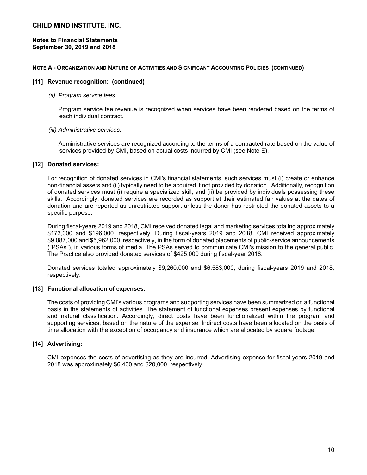**Notes to Financial Statements September 30, 2019 and 2018** 

# **NOTE A - ORGANIZATION AND NATURE OF ACTIVITIES AND SIGNIFICANT ACCOUNTING POLICIES (CONTINUED)**

# **[11] Revenue recognition: (continued)**

*(ii) Program service fees:* 

 Program service fee revenue is recognized when services have been rendered based on the terms of each individual contract.

#### *(iii) Administrative services:*

 Administrative services are recognized according to the terms of a contracted rate based on the value of services provided by CMI, based on actual costs incurred by CMI (see Note E).

# **[12] Donated services:**

For recognition of donated services in CMI's financial statements, such services must (i) create or enhance non-financial assets and (ii) typically need to be acquired if not provided by donation. Additionally, recognition of donated services must (i) require a specialized skill, and (ii) be provided by individuals possessing these skills. Accordingly, donated services are recorded as support at their estimated fair values at the dates of donation and are reported as unrestricted support unless the donor has restricted the donated assets to a specific purpose.

During fiscal-years 2019 and 2018, CMI received donated legal and marketing services totaling approximately \$173,000 and \$196,000, respectively. During fiscal-years 2019 and 2018, CMI received approximately \$9,087,000 and \$5,962,000, respectively, in the form of donated placements of public-service announcements ("PSAs"), in various forms of media. The PSAs served to communicate CMI's mission to the general public. The Practice also provided donated services of \$425,000 during fiscal-year 2018.

Donated services totaled approximately \$9,260,000 and \$6,583,000, during fiscal-years 2019 and 2018, respectively.

# **[13] Functional allocation of expenses:**

The costs of providing CMI's various programs and supporting services have been summarized on a functional basis in the statements of activities. The statement of functional expenses present expenses by functional and natural classification. Accordingly, direct costs have been functionalized within the program and supporting services, based on the nature of the expense. Indirect costs have been allocated on the basis of time allocation with the exception of occupancy and insurance which are allocated by square footage.

# **[14] Advertising:**

CMI expenses the costs of advertising as they are incurred. Advertising expense for fiscal-years 2019 and 2018 was approximately \$6,400 and \$20,000, respectively.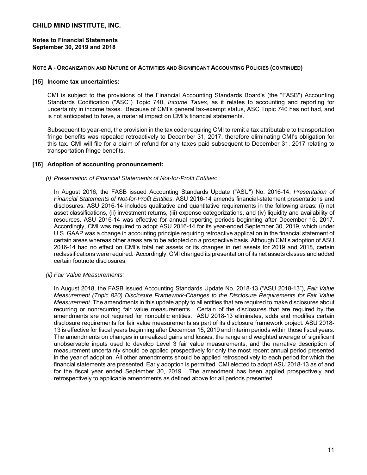# **Notes to Financial Statements September 30, 2019 and 2018**

#### **NOTE A - ORGANIZATION AND NATURE OF ACTIVITIES AND SIGNIFICANT ACCOUNTING POLICIES (CONTINUED)**

#### **[15] Income tax uncertainties:**

CMI is subject to the provisions of the Financial Accounting Standards Board's (the "FASB") Accounting Standards Codification ("ASC") Topic 740, *Income Taxes*, as it relates to accounting and reporting for uncertainty in income taxes. Because of CMI's general tax-exempt status, ASC Topic 740 has not had, and is not anticipated to have, a material impact on CMI's financial statements.

Subsequent to year-end, the provision in the tax code requiring CMI to remit a tax attributable to transportation fringe benefits was repealed retroactively to December 31, 2017, therefore eliminating CMI's obligation for this tax. CMI will file for a claim of refund for any taxes paid subsequent to December 31, 2017 relating to transportation fringe benefits.

#### **[16] Adoption of accounting pronouncement:**

#### *(i) Presentation of Financial Statements of Not-for-Profit Entities:*

In August 2016, the FASB issued Accounting Standards Update ("ASU") No. 2016-14, *Presentation of Financial Statements of Not-for-Profit Entities*. ASU 2016-14 amends financial-statement presentations and disclosures. ASU 2016-14 includes qualitative and quantitative requirements in the following areas: (i) net asset classifications, (ii) investment returns, (iii) expense categorizations, and (iv) liquidity and availability of resources. ASU 2016-14 was effective for annual reporting periods beginning after December 15, 2017. Accordingly, CMI was required to adopt ASU 2016-14 for its year-ended September 30, 2019, which under U.S. GAAP was a change in accounting principle requiring retroactive application in the financial statement of certain areas whereas other areas are to be adopted on a prospective basis. Although CMI's adoption of ASU 2016-14 had no effect on CMI's total net assets or its changes in net assets for 2019 and 2018, certain reclassifications were required. Accordingly, CMI changed its presentation of its net assets classes and added certain footnote disclosures.

# *(ii) Fair Value Measurements:*

In August 2018, the FASB issued Accounting Standards Update No. 2018-13 ("ASU 2018-13"), *Fair Value Measurement (Topic 820) Disclosure Framework-Changes to the Disclosure Requirements for Fair Value Measurement*. The amendments in this update apply to all entities that are required to make disclosures about recurring or nonrecurring fair value measurements. Certain of the disclosures that are required by the amendments are not required for nonpublic entities. ASU 2018-13 eliminates, adds and modifies certain disclosure requirements for fair value measurements as part of its disclosure framework project. ASU 2018- 13 is effective for fiscal years beginning after December 15, 2019 and interim periods within those fiscal years. The amendments on changes in unrealized gains and losses, the range and weighted average of significant unobservable inputs used to develop Level 3 fair value measurements, and the narrative description of measurement uncertainty should be applied prospectively for only the most recent annual period presented in the year of adoption. All other amendments should be applied retrospectively to each period for which the financial statements are presented. Early adoption is permitted. CMI elected to adopt ASU 2018-13 as of and for the fiscal year ended September 30, 2019. The amendment has been applied prospectively and retrospectively to applicable amendments as defined above for all periods presented.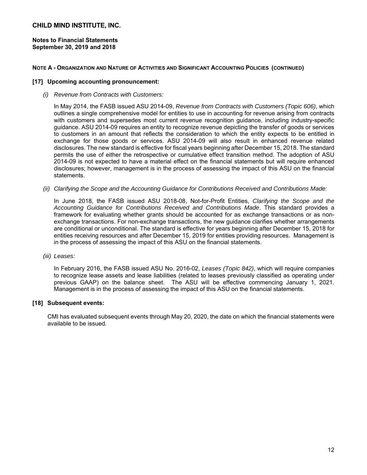**Notes to Financial Statements September 30, 2019 and 2018** 

# **NOTE A - ORGANIZATION AND NATURE OF ACTIVITIES AND SIGNIFICANT ACCOUNTING POLICIES (CONTINUED)**

#### **[17] Upcoming accounting pronouncement:**

#### *(i) Revenue from Contracts with Customers:*

In May 2014, the FASB issued ASU 2014-09, *Revenue from Contracts with Customers (Topic 606)*, which outlines a single comprehensive model for entities to use in accounting for revenue arising from contracts with customers and supersedes most current revenue recognition guidance, including industry-specific guidance. ASU 2014-09 requires an entity to recognize revenue depicting the transfer of goods or services to customers in an amount that reflects the consideration to which the entity expects to be entitled in exchange for those goods or services. ASU 2014-09 will also result in enhanced revenue related disclosures. The new standard is effective for fiscal years beginning after December 15, 2018. The standard permits the use of either the retrospective or cumulative effect transition method. The adoption of ASU 2014-09 is not expected to have a material effect on the financial statements but will require enhanced disclosures; however, management is in the process of assessing the impact of this ASU on the financial statements.

*(ii) Clarifying the Scope and the Accounting Guidance for Contributions Received and Contributions Made:*

In June 2018, the FASB issued ASU 2018-08, Not-for-Profit Entities, *Clarifying the Scope and the Accounting Guidance for Contributions Received and Contributions Made*. This standard provides a framework for evaluating whether grants should be accounted for as exchange transactions or as nonexchange transactions. For non-exchange transactions, the new guidance clarifies whether arrangements are conditional or unconditional. The standard is effective for years beginning after December 15, 2018 for entities receiving resources and after December 15, 2019 for entities providing resources. Management is in the process of assessing the impact of this ASU on the financial statements.

*(iii) Leases:*

In February 2016, the FASB issued ASU No. 2016-02, *Leases (Topic 842)*, which will require companies to recognize lease assets and lease liabilities (related to leases previously classified as operating under previous GAAP) on the balance sheet. The ASU will be effective commencing January 1, 2021. Management is in the process of assessing the impact of this ASU on the financial statements.

# **[18] Subsequent events:**

CMI has evaluated subsequent events through May 20, 2020, the date on which the financial statements were available to be issued.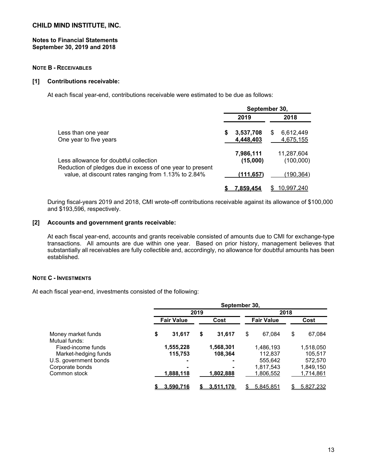# **Notes to Financial Statements September 30, 2019 and 2018**

# **NOTE B - RECEIVABLES**

# **[1] Contributions receivable:**

At each fiscal year-end, contributions receivable were estimated to be due as follows:

|                                                                                                                   | September 30, |                        |   |                         |
|-------------------------------------------------------------------------------------------------------------------|---------------|------------------------|---|-------------------------|
|                                                                                                                   | 2019          |                        |   | 2018                    |
| Less than one year<br>One year to five years                                                                      | S             | 3,537,708<br>4,448,403 | S | 6,612,449<br>4,675,155  |
| Less allowance for doubtful collection                                                                            |               | 7,986,111<br>(15,000)  |   | 11,287,604<br>(100,000) |
| Reduction of pledges due in excess of one year to present<br>value, at discount rates ranging from 1.13% to 2.84% |               | (111,657)              |   | (190,364)               |
|                                                                                                                   |               | 7.859.454              |   | 10.997.240              |

During fiscal-years 2019 and 2018, CMI wrote-off contributions receivable against its allowance of \$100,000 and \$193,596, respectively.

# **[2] Accounts and government grants receivable:**

At each fiscal year-end, accounts and grants receivable consisted of amounts due to CMI for exchange-type transactions. All amounts are due within one year. Based on prior history, management believes that substantially all receivables are fully collectible and, accordingly, no allowance for doubtful amounts has been established.

# **NOTE C - INVESTMENTS**

At each fiscal year-end, investments consisted of the following:

|                                            | September 30,     |                      |      |                      |                   |                      |      |                      |  |
|--------------------------------------------|-------------------|----------------------|------|----------------------|-------------------|----------------------|------|----------------------|--|
|                                            |                   |                      | 2019 |                      |                   |                      | 2018 |                      |  |
|                                            | <b>Fair Value</b> |                      |      | Cost                 | <b>Fair Value</b> |                      |      | Cost                 |  |
| Money market funds<br>Mutual funds:        | \$                | 31,617               | \$   | 31,617               | \$                | 67.084               | \$   | 67,084               |  |
| Fixed-income funds<br>Market-hedging funds |                   | 1,555,228<br>115,753 |      | 1,568,301<br>108,364 |                   | 1,486,193<br>112,837 |      | 1,518,050<br>105,517 |  |
| U.S. government bonds<br>Corporate bonds   |                   |                      |      |                      |                   | 555,642<br>1,817,543 |      | 572,570<br>1,849,150 |  |
| Common stock                               |                   | 1,888,118            |      | 1,802,888            |                   | 1,806,552            |      | 1,714,861            |  |
|                                            |                   | 3.590.716            |      | 3.511.170            |                   | 5,845,851            |      | 5,827,232            |  |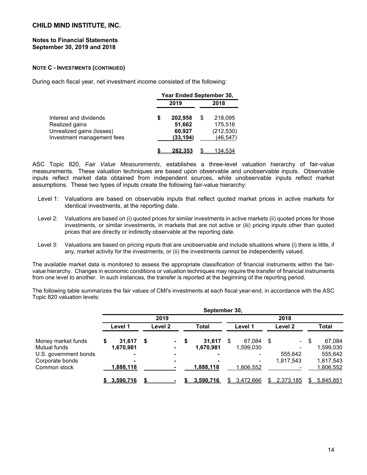# **Notes to Financial Statements September 30, 2019 and 2018**

# **NOTE C - INVESTMENTS (CONTINUED)**

During each fiscal year, net investment income consisted of the following:

|                            | Year Ended September 30, |                |   |            |  |
|----------------------------|--------------------------|----------------|---|------------|--|
|                            |                          | 2019           |   | 2018       |  |
| Interest and dividends     | S                        | 202,958        | S | 218,095    |  |
| Realized gains             |                          | 51,662         |   | 175,516    |  |
| Unrealized gains (losses)  |                          | 60,927         |   | (212, 530) |  |
| Investment management fees |                          | (33, 194)      |   | (46, 547)  |  |
|                            |                          | <u>282.353</u> |   | 134.534    |  |

ASC Topic 820, *Fair Value Measurements*, establishes a three-level valuation hierarchy of fair-value measurements. These valuation techniques are based upon observable and unobservable inputs. Observable inputs reflect market data obtained from independent sources, while unobservable inputs reflect market assumptions. These two types of inputs create the following fair-value hierarchy:

- Level 1: Valuations are based on observable inputs that reflect quoted market prices in active markets for identical investments, at the reporting date.
- Level 2: Valuations are based on (i) quoted prices for similar investments in active markets (ii) quoted prices for those investments, or similar investments, in markets that are not active or (iii) pricing inputs other than quoted prices that are directly or indirectly observable at the reporting date.
- Level 3: Valuations are based on pricing inputs that are unobservable and include situations where (i) there is little, if any, market activity for the investments, or (ii) the investments cannot be independently valued.

The available market data is monitored to assess the appropriate classification of financial instruments within the fairvalue hierarchy. Changes in economic conditions or valuation techniques may require the transfer of financial instruments from one level to another. In such instances, the transfer is reported at the beginning of the reporting period.

The following table summarizes the fair values of CMI's investments at each fiscal year-end, in accordance with the ASC Topic 820 valuation levels:

|                                    | September 30,               |   |                    |    |                             |    |                |     |              |     |                               |
|------------------------------------|-----------------------------|---|--------------------|----|-----------------------------|----|----------------|-----|--------------|-----|-------------------------------|
|                                    |                             |   | 2019               |    |                             |    |                |     | 2018         |     |                               |
|                                    | Level 1                     |   | Level <sub>2</sub> |    | <b>Total</b>                |    | Level 1        |     | Level 2      |     | Total                         |
| Money market funds<br>Mutual funds | 31.617                      | S | $\sim$             | \$ | 31.617                      |    | 67.084         | -\$ | $\sim$       | -\$ | 67.084                        |
| U.S. government bonds              | 1,670,981<br>$\blacksquare$ |   | ۰<br>۰             |    | 1,670,981<br>۰              |    | 1,599,030<br>٠ |     | ۰<br>555.642 |     | 1,599,030<br>555,642          |
| Corporate bonds<br>Common stock    | ۰<br>1,888,118              |   | ۰                  |    | $\blacksquare$<br>1,888,118 |    | ۰<br>1,806,552 |     | 1.817.543    |     | 1,817,543<br><u>1,806,552</u> |
|                                    | \$3,590,716                 |   |                    |    | 3.590.716                   | \$ | 3,472,666      |     | 2,373,185    |     | 5,845,851                     |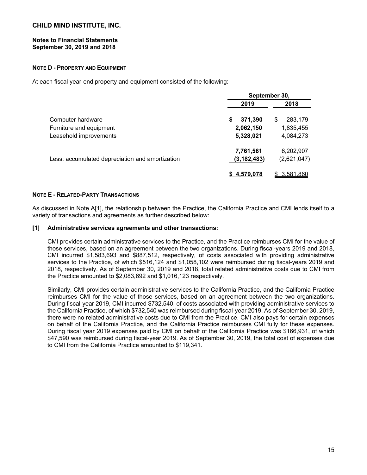# **Notes to Financial Statements September 30, 2019 and 2018**

# **NOTE D - PROPERTY AND EQUIPMENT**

At each fiscal year-end property and equipment consisted of the following:

|                                                 | September 30, |                        |  |  |  |
|-------------------------------------------------|---------------|------------------------|--|--|--|
|                                                 | 2019          | 2018                   |  |  |  |
| Computer hardware                               | 371,390<br>\$ | 283,179<br>S           |  |  |  |
| Furniture and equipment                         | 2,062,150     | 1,835,455              |  |  |  |
| Leasehold improvements                          | 5,328,021     | 4,084,273              |  |  |  |
|                                                 | 7,761,561     | 6,202,907              |  |  |  |
| Less: accumulated depreciation and amortization | (3, 182, 483) | (2,621,047)            |  |  |  |
|                                                 | \$4.579.078   | <u>3,581,860</u><br>S. |  |  |  |

# **NOTE E - RELATED-PARTY TRANSACTIONS**

As discussed in Note A[1], the relationship between the Practice, the California Practice and CMI lends itself to a variety of transactions and agreements as further described below:

# **[1] Administrative services agreements and other transactions:**

CMI provides certain administrative services to the Practice, and the Practice reimburses CMI for the value of those services, based on an agreement between the two organizations. During fiscal-years 2019 and 2018, CMI incurred \$1,583,693 and \$887,512, respectively, of costs associated with providing administrative services to the Practice, of which \$516,124 and \$1,058,102 were reimbursed during fiscal-years 2019 and 2018, respectively. As of September 30, 2019 and 2018, total related administrative costs due to CMI from the Practice amounted to \$2,083,692 and \$1,016,123 respectively.

Similarly, CMI provides certain administrative services to the California Practice, and the California Practice reimburses CMI for the value of those services, based on an agreement between the two organizations. During fiscal-year 2019, CMI incurred \$732,540, of costs associated with providing administrative services to the California Practice, of which \$732,540 was reimbursed during fiscal-year 2019. As of September 30, 2019, there were no related administrative costs due to CMI from the Practice. CMI also pays for certain expenses on behalf of the California Practice, and the California Practice reimburses CMI fully for these expenses. During fiscal year 2019 expenses paid by CMI on behalf of the California Practice was \$166,931, of which \$47,590 was reimbursed during fiscal-year 2019. As of September 30, 2019, the total cost of expenses due to CMI from the California Practice amounted to \$119,341.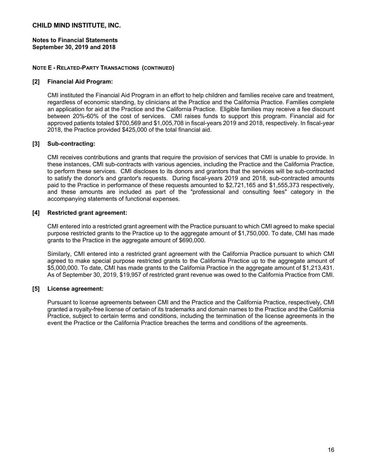**Notes to Financial Statements September 30, 2019 and 2018** 

# **NOTE E - RELATED-PARTY TRANSACTIONS (CONTINUED)**

#### **[2] Financial Aid Program:**

CMI instituted the Financial Aid Program in an effort to help children and families receive care and treatment, regardless of economic standing, by clinicians at the Practice and the California Practice. Families complete an application for aid at the Practice and the California Practice. Eligible families may receive a fee discount between 20%-60% of the cost of services. CMI raises funds to support this program. Financial aid for approved patients totaled \$700,569 and \$1,005,708 in fiscal-years 2019 and 2018, respectively. In fiscal-year 2018, the Practice provided \$425,000 of the total financial aid.

#### **[3] Sub-contracting:**

CMI receives contributions and grants that require the provision of services that CMI is unable to provide. In these instances, CMI sub-contracts with various agencies, including the Practice and the California Practice, to perform these services. CMI discloses to its donors and grantors that the services will be sub-contracted to satisfy the donor's and grantor's requests. During fiscal-years 2019 and 2018, sub-contracted amounts paid to the Practice in performance of these requests amounted to \$2,721,165 and \$1,555,373 respectively, and these amounts are included as part of the "professional and consulting fees" category in the accompanying statements of functional expenses.

#### **[4] Restricted grant agreement:**

CMI entered into a restricted grant agreement with the Practice pursuant to which CMI agreed to make special purpose restricted grants to the Practice up to the aggregate amount of \$1,750,000. To date, CMI has made grants to the Practice in the aggregate amount of \$690,000.

Similarly, CMI entered into a restricted grant agreement with the California Practice pursuant to which CMI agreed to make special purpose restricted grants to the California Practice up to the aggregate amount of \$5,000,000. To date, CMI has made grants to the California Practice in the aggregate amount of \$1,213,431. As of September 30, 2019, \$19,957 of restricted grant revenue was owed to the California Practice from CMI.

# **[5] License agreement:**

Pursuant to license agreements between CMI and the Practice and the California Practice, respectively, CMI granted a royalty-free license of certain of its trademarks and domain names to the Practice and the California Practice, subject to certain terms and conditions, including the termination of the license agreements in the event the Practice or the California Practice breaches the terms and conditions of the agreements.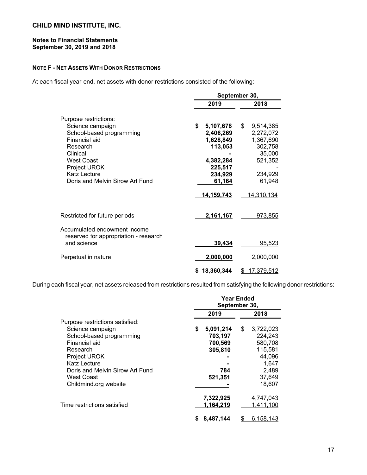# **Notes to Financial Statements September 30, 2019 and 2018**

# **NOTE F - NET ASSETS WITH DONOR RESTRICTIONS**

At each fiscal year-end, net assets with donor restrictions consisted of the following:

|                                                                                                                                                                                                               | September 30,                                                                                                   |                                                                                                                     |  |  |  |  |
|---------------------------------------------------------------------------------------------------------------------------------------------------------------------------------------------------------------|-----------------------------------------------------------------------------------------------------------------|---------------------------------------------------------------------------------------------------------------------|--|--|--|--|
|                                                                                                                                                                                                               | 2019                                                                                                            | 2018                                                                                                                |  |  |  |  |
| Purpose restrictions:<br>Science campaign<br>School-based programming<br>Financial aid<br>Research<br>Clinical<br><b>West Coast</b><br>Project UROK<br><b>Katz Lecture</b><br>Doris and Melvin Sirow Art Fund | \$<br>5,107,678<br>2,406,269<br>1,628,849<br>113,053<br>4,382,284<br>225,517<br>234,929<br>61,164<br>14,159,743 | \$<br>9,514,385<br>2,272,072<br>1,367,690<br>302,758<br>35,000<br>521,352<br>234,929<br>61,948<br><u>14,310,134</u> |  |  |  |  |
| Restricted for future periods                                                                                                                                                                                 | 2,161,167                                                                                                       | 973,855                                                                                                             |  |  |  |  |
| Accumulated endowment income<br>reserved for appropriation - research<br>and science                                                                                                                          | 39,434                                                                                                          | 95,523                                                                                                              |  |  |  |  |
| Perpetual in nature                                                                                                                                                                                           | 2,000,000                                                                                                       | 2,000,000                                                                                                           |  |  |  |  |
|                                                                                                                                                                                                               | 18.360.344                                                                                                      | <u>17,379,512</u>                                                                                                   |  |  |  |  |

During each fiscal year, net assets released from restrictions resulted from satisfying the following donor restrictions:

|                                 | <b>Year Ended</b><br>September 30, |           |    |                  |  |
|---------------------------------|------------------------------------|-----------|----|------------------|--|
|                                 |                                    | 2019      |    | 2018             |  |
| Purpose restrictions satisfied: |                                    |           |    |                  |  |
| Science campaign                | \$                                 | 5,091,214 | \$ | 3,722,023        |  |
| School-based programming        |                                    | 703,197   |    | 224,243          |  |
| Financial aid                   |                                    | 700,569   |    | 580,708          |  |
| Research                        |                                    | 305,810   |    | 115,581          |  |
| Project UROK                    |                                    |           |    | 44,096           |  |
| Katz Lecture                    |                                    |           |    | 1,647            |  |
| Doris and Melvin Sirow Art Fund |                                    | 784       |    | 2,489            |  |
| West Coast                      |                                    | 521,351   |    | 37,649           |  |
| Childmind.org website           |                                    |           |    | 18,607           |  |
|                                 |                                    | 7,322,925 |    | 4,747,043        |  |
| Time restrictions satisfied     |                                    | 1,164,219 |    | 1,411,100        |  |
|                                 |                                    | 8.487.144 |    | <u>6,158,143</u> |  |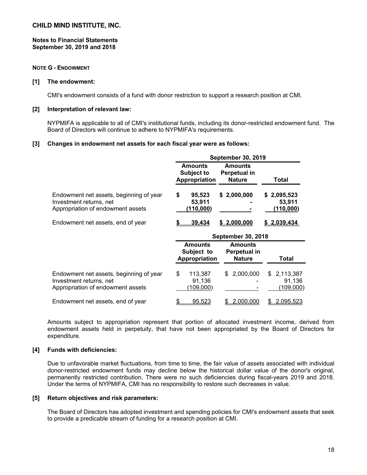# **Notes to Financial Statements September 30, 2019 and 2018**

# **NOTE G - ENDOWMENT**

# **[1] The endowment:**

CMI's endowment consists of a fund with donor restriction to support a research position at CMI.

#### **[2] Interpretation of relevant law:**

NYPMIFA is applicable to all of CMI's institutional funds, including its donor-restricted endowment fund. The Board of Directors will continue to adhere to NYPMIFA's requirements.

# **[3] Changes in endowment net assets for each fiscal year were as follows:**

|                                                                                                         | <b>September 30, 2019</b>                            |                                                 |                                           |  |
|---------------------------------------------------------------------------------------------------------|------------------------------------------------------|-------------------------------------------------|-------------------------------------------|--|
|                                                                                                         | <b>Amounts</b><br><b>Subject to</b><br>Appropriation | <b>Amounts</b><br>Perpetual in<br><b>Nature</b> | Total                                     |  |
| Endowment net assets, beginning of year<br>Investment returns, net<br>Appropriation of endowment assets | 95,523<br>\$<br>53,911<br>(110,000)                  | \$2,000,000                                     | \$2,095,523<br>53,911<br><u>(110,000)</u> |  |
| Endowment net assets, end of year                                                                       | 39.434                                               | \$2.000.000                                     | <u>\$2.039.434</u>                        |  |
|                                                                                                         | <b>September 30, 2018</b>                            |                                                 |                                           |  |
|                                                                                                         | <b>Amounts</b><br>Subject to<br>Appropriation        | <b>Amounts</b><br>Perpetual in<br><b>Nature</b> | Total                                     |  |
| Endowment net assets, beginning of year<br>Investment returns, net<br>Appropriation of endowment assets | \$<br>113,387<br>91,136<br>109,000                   | \$2,000,000                                     | \$2,113,387<br>91,136<br>(109,000)        |  |
| Endowment net assets, end of year                                                                       | 95,523<br>\$                                         | 2,000,000<br>S                                  | 2,095,523<br>\$.                          |  |

Amounts subject to appropriation represent that portion of allocated investment income, derived from endowment assets held in perpetuity, that have not been appropriated by the Board of Directors for expenditure.

# **[4] Funds with deficiencies:**

Due to unfavorable market fluctuations, from time to time, the fair value of assets associated with individual donor-restricted endowment funds may decline below the historical dollar value of the donor's original, permanently restricted contribution. There were no such deficiencies during fiscal-years 2019 and 2018. Under the terms of NYPMIFA, CMI has no responsibility to restore such decreases in value.

# **[5] Return objectives and risk parameters:**

The Board of Directors has adopted investment and spending policies for CMI's endowment assets that seek to provide a predicable stream of funding for a research position at CMI.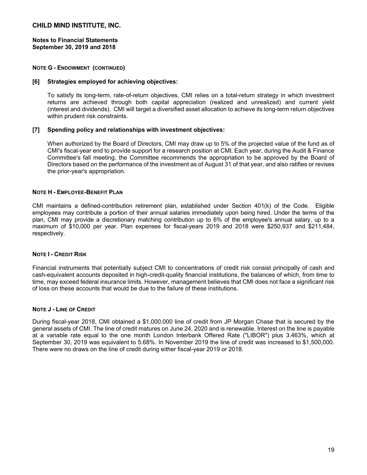#### **Notes to Financial Statements September 30, 2019 and 2018**

# **NOTE G - ENDOWMENT (CONTINUED)**

# **[6] Strategies employed for achieving objectives:**

To satisfy its long-term, rate-of-return objectives, CMI relies on a total-return strategy in which investment returns are achieved through both capital appreciation (realized and unrealized) and current yield (interest and dividends). CMI will target a diversified asset allocation to achieve its long-term return objectives within prudent risk constraints.

# **[7] Spending policy and relationships with investment objectives:**

When authorized by the Board of Directors, CMI may draw up to 5% of the projected value of the fund as of CMI's fiscal-year end to provide support for a research position at CMI*.* Each year, during the Audit & Finance Committee's fall meeting, the Committee recommends the appropriation to be approved by the Board of Directors based on the performance of the investment as of August 31 of that year, and also ratifies or revises the prior-year's appropriation.

# **NOTE H - EMPLOYEE-BENEFIT PLAN**

CMI maintains a defined-contribution retirement plan, established under Section 401(k) of the Code. Eligible employees may contribute a portion of their annual salaries immediately upon being hired. Under the terms of the plan, CMI may provide a discretionary matching contribution up to 6% of the employee's annual salary, up to a maximum of \$10,000 per year. Plan expenses for fiscal-years 2019 and 2018 were \$250,937 and \$211,484, respectively.

# **NOTE I - CREDIT RISK**

Financial instruments that potentially subject CMI to concentrations of credit risk consist principally of cash and cash-equivalent accounts deposited in high-credit-quality financial institutions, the balances of which, from time to time, may exceed federal insurance limits. However, management believes that CMI does not face a significant risk of loss on these accounts that would be due to the failure of these institutions.

# **NOTE J - LINE OF CREDIT**

During fiscal-year 2018, CMI obtained a \$1,000,000 line of credit from JP Morgan Chase that is secured by the general assets of CMI. The line of credit matures on June 24, 2020 and is renewable. Interest on the line is payable at a variable rate equal to the one month London Interbank Offered Rate ("LIBOR") plus 3.463%, which at September 30, 2019 was equivalent to 5.68%. In November 2019 the line of credit was increased to \$1,500,000. There were no draws on the line of credit during either fiscal-year 2019 or 2018.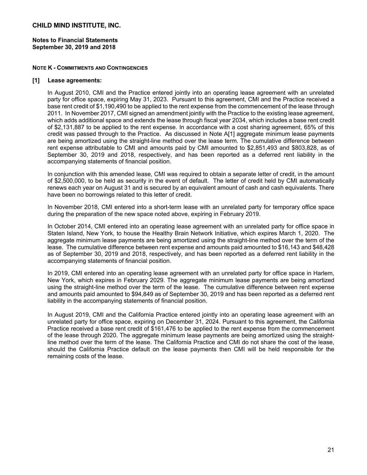**Notes to Financial Statements September 30, 2019 and 2018** 

#### **NOTE K - COMMITMENTS AND CONTINGENCIES**

#### **[1] Lease agreements:**

In August 2010, CMI and the Practice entered jointly into an operating lease agreement with an unrelated party for office space, expiring May 31, 2023. Pursuant to this agreement, CMI and the Practice received a base rent credit of \$1,190,490 to be applied to the rent expense from the commencement of the lease through 2011. In November 2017, CMI signed an amendment jointly with the Practice to the existing lease agreement, which adds additional space and extends the lease through fiscal year 2034, which includes a base rent credit of \$2,131,887 to be applied to the rent expense. In accordance with a cost sharing agreement, 65% of this credit was passed through to the Practice. As discussed in Note A[1] aggregate minimum lease payments are being amortized using the straight-line method over the lease term. The cumulative difference between rent expense attributable to CMI and amounts paid by CMI amounted to \$2,851,493 and \$803,828, as of September 30, 2019 and 2018, respectively, and has been reported as a deferred rent liability in the accompanying statements of financial position.

In conjunction with this amended lease, CMI was required to obtain a separate letter of credit, in the amount of \$2,500,000, to be held as security in the event of default. The letter of credit held by CMI automatically renews each year on August 31 and is secured by an equivalent amount of cash and cash equivalents. There have been no borrowings related to this letter of credit.

In November 2018, CMI entered into a short-term lease with an unrelated party for temporary office space during the preparation of the new space noted above, expiring in February 2019.

In October 2014, CMI entered into an operating lease agreement with an unrelated party for office space in Staten Island, New York, to house the Healthy Brain Network Initiative, which expires March 1, 2020. The aggregate minimum lease payments are being amortized using the straight-line method over the term of the lease. The cumulative difference between rent expense and amounts paid amounted to \$16,143 and \$48,428 as of September 30, 2019 and 2018, respectively, and has been reported as a deferred rent liability in the accompanying statements of financial position.

In 2019, CMI entered into an operating lease agreement with an unrelated party for office space in Harlem, New York, which expires in February 2029. The aggregate minimum lease payments are being amortized using the straight-line method over the term of the lease. The cumulative difference between rent expense and amounts paid amounted to \$94,849 as of September 30, 2019 and has been reported as a deferred rent liability in the accompanying statements of financial position.

In August 2019, CMI and the California Practice entered jointly into an operating lease agreement with an unrelated party for office space, expiring on December 31, 2024. Pursuant to this agreement, the California Practice received a base rent credit of \$161,476 to be applied to the rent expense from the commencement of the lease through 2020. The aggregate minimum lease payments are being amortized using the straightline method over the term of the lease. The California Practice and CMI do not share the cost of the lease, should the California Practice default on the lease payments then CMI will be held responsible for the remaining costs of the lease.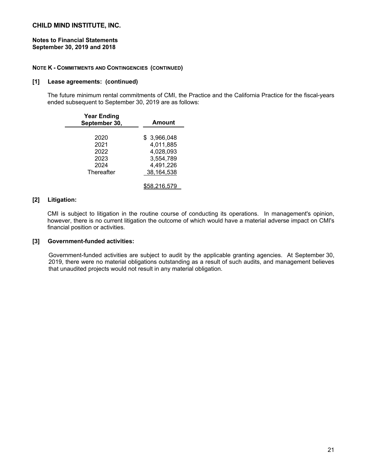# **Notes to Financial Statements September 30, 2019 and 2018**

# **NOTE K - COMMITMENTS AND CONTINGENCIES (CONTINUED)**

# **[1] Lease agreements: (continued)**

The future minimum rental commitments of CMI, the Practice and the California Practice for the fiscal-years ended subsequent to September 30, 2019 are as follows:

| <b>Year Ending</b><br>September 30,                | Amount                                                                        |  |  |
|----------------------------------------------------|-------------------------------------------------------------------------------|--|--|
| 2020<br>2021<br>2022<br>2023<br>2024<br>Thereafter | \$3,966,048<br>4,011,885<br>4,028,093<br>3,554,789<br>4,491,226<br>38,164,538 |  |  |
|                                                    | \$58,216,579                                                                  |  |  |

# **[2] Litigation:**

CMI is subject to litigation in the routine course of conducting its operations. In management's opinion, however, there is no current litigation the outcome of which would have a material adverse impact on CMI's financial position or activities.

# **[3] Government-funded activities:**

Government-funded activities are subject to audit by the applicable granting agencies. At September 30, 2019, there were no material obligations outstanding as a result of such audits, and management believes that unaudited projects would not result in any material obligation.